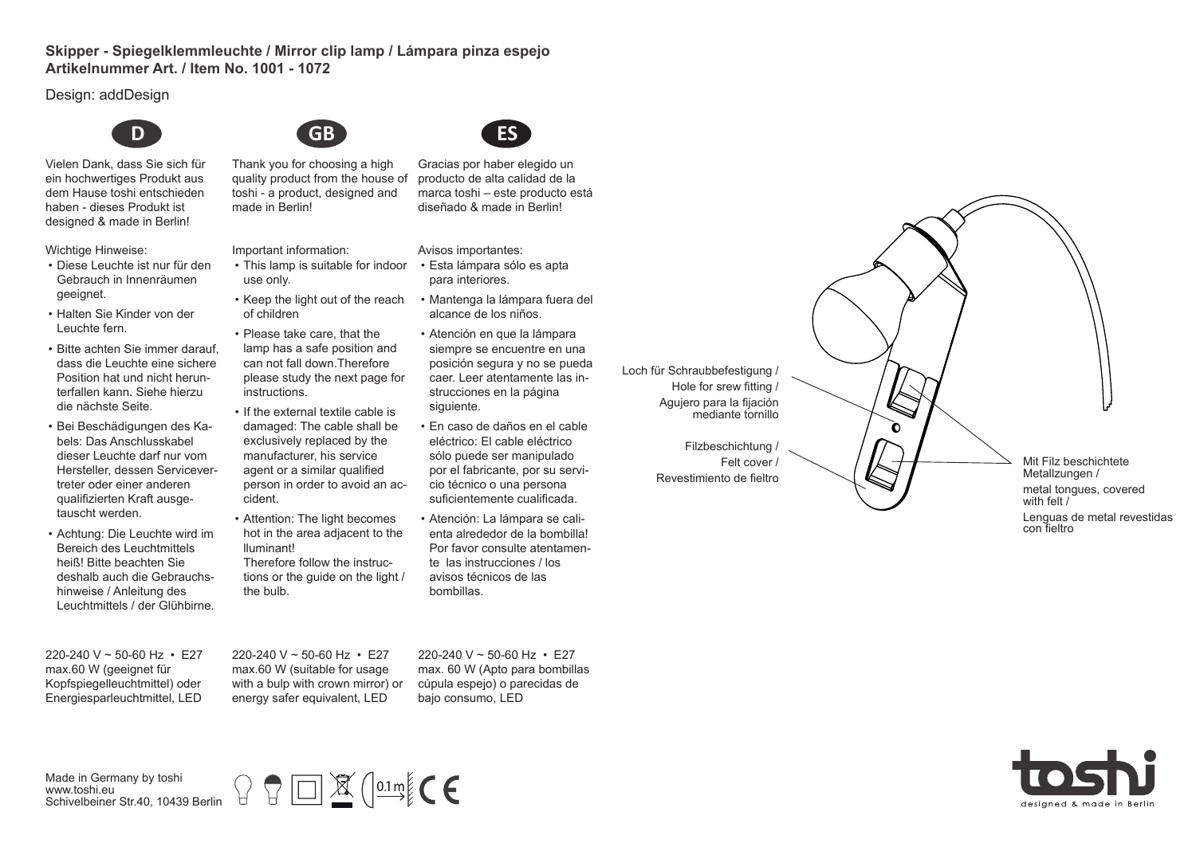## **Skipper - Spiegelklemmleuchte / Mirror clip lamp / Lámpara pinza espejo Artikelnummer Art. / Item No. 1001 - 1072**

Design: addDesign



Vielen Dank, dass Sie sich für ein hochwertiges Produkt aus dem Hause toshi entschieden haben - dieses Produkt ist designed & made in Berlin!

Wichtige Hinweise:

- Diese Leuchte ist nur für den Gebrauch in Innenräumen geeignet.
- Halten Sie Kinder von der Leuchte fern.
- Bitte achten Sie immer darauf, dass die Leuchte eine sichere Position hat und nicht herunterfallen kann. Siehe hierzu die nächste Seite.
- Bei Beschädigungen des Kabels: Das Anschlusskabel dieser Leuchte darf nur vom Hersteller, dessen Servicevertreter oder einer anderen qualifizierten Kraft ausgetauscht werden.
- Achtung: Die Leuchte wird im Bereich des Leuchtmittels heiß! Bitte beachten Sie deshalb auch die Gebrauchshinweise / Anleitung des Leuchtmittels / der Glühbirne.

220-240 V ~ 50-60 Hz • E27 max.60 W (geeignet für Kopfspiegelleuchtmittel) oder Energiesparleuchtmittel, LED



made in Berlin!

- Important information: • This lamp is suitable for indoor use only.
- Keep the light out of the reach of children
- Please take care, that the lamp has a safe position and can not fall down.Therefore please study the next page for instructions.
- If the external textile cable is damaged: The cable shall be exclusively replaced by the manufacturer, his service agent or a similar qualified person in order to avoid an accident.
- Attention: The light becomes hot in the area adjacent to the lluminant! Therefore follow the instructions or the guide on the light / the bulb.



Gracias por haber elegido un producto de alta calidad de la marca toshi – este producto está diseñado & made in Berlin!

Avisos importantes:

- Esta lámpara sólo es apta para interiores.
- Mantenga la lámpara fuera del alcance de los niños.
- Atención en que la lámpara siempre se encuentre en una posición segura y no se pueda caer. Leer atentamente las instrucciones en la página siguiente.
- En caso de daños en el cable eléctrico: El cable eléctrico sólo puede ser manipulado por el fabricante, por su servicio técnico o una persona suficientemente cualificada.
- Atención: La lámpara se calienta alrededor de la bombilla! Por favor consulte atentamente las instrucciones / los avisos técnicos de las bombillas.

Loch für Schraubbefestigung / Hole for srew fitting / Agujero para la fijación mediante tornillo

> Filzbeschichtung / Felt cover Revestimiento de fieltro

ò

Mit Filz beschichtete Metallzungen / metal tongues, covered with felt /

Lenguas de metal revestidas con fieltro

220-240 V ~ 50-60 Hz • E27 max.60 W (suitable for usage with a bulp with crown mirror) or energy safer equivalent, LED

220-240 V ~ 50-60 Hz • E27 max. 60 W (Apto para bombillas cúpula espejo) o parecidas de bajo consumo, LED



Made in Germany by toshi www.toshi.eu Schivelbeiner Str.40, 10439 Berlin